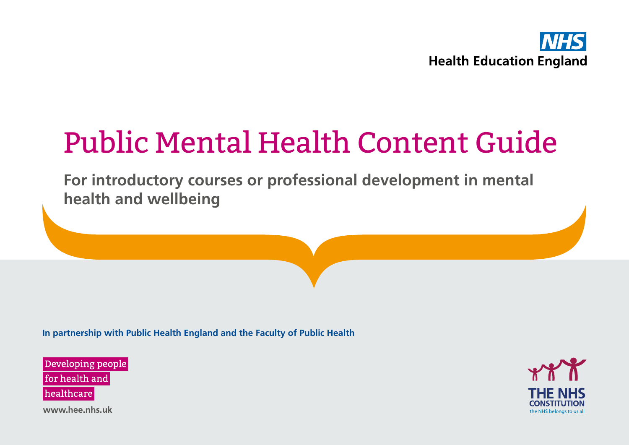

# Public Mental Health Content Guide

**For introductory courses or professional development in mental health and wellbeing**

**In partnership with Public Health England and the Faculty of Public Health**

Developing people for health and healthcare



www.hee.nhs.uk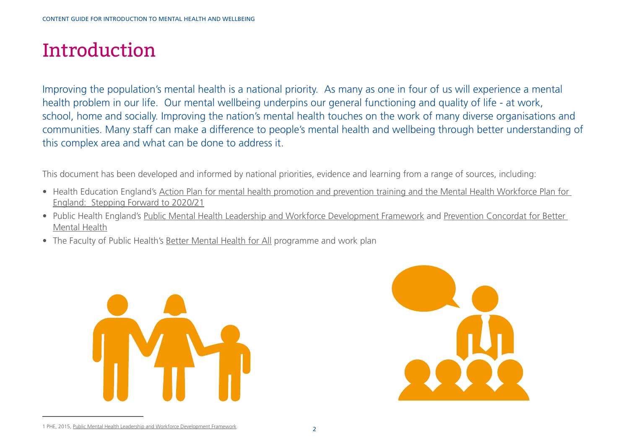## Introduction

Improving the population's mental health is a national priority. As many as one in four of us will experience a mental health problem in our life. Our mental wellbeing underpins our general functioning and quality of life - at work, school, home and socially. Improving the nation's mental health touches on the work of many diverse organisations and communities. Many staff can make a difference to people's mental health and wellbeing through better understanding of this complex area and what can be done to address it.

This document has been developed and informed by national priorities, evidence and learning from a range of sources, including:

- Health Education England's [Action Plan for mental health promotion and prevention training and the Mental Health Workforce Plan for](https://www.hee.nhs.uk/sites/default/files/documents/Action plan for mental health promotion and prevention courses 2016-2020.pdf)  [England: Stepping Forward to 2020/21](https://www.hee.nhs.uk/sites/default/files/documents/Action plan for mental health promotion and prevention courses 2016-2020.pdf)
- Public Health England's [Public Mental Health Leadership and Workforce Development Framework](https://www.gov.uk/government/publications/public-mental-health-leadership-and-workforce-development-framework) and [Prevention Concordat for Better](https://www.gov.uk/government/collections/prevention-concordat-for-better-mental-health)  [Mental Health](https://www.gov.uk/government/collections/prevention-concordat-for-better-mental-health)
- The Faculty of Public Health's [Better Mental Health for All](http://www.fph.org.uk/better_mental_health_for_all) programme and work plan





<sup>1</sup> PHE, 2015, [Public Mental Health Leadership and Workforce Development Framework](https://www.gov.uk/government/uploads/system/uploads/attachment_data/file/410356/Public_Mental_Health_Leadership_and_Workforce_Development_Framework.pdf)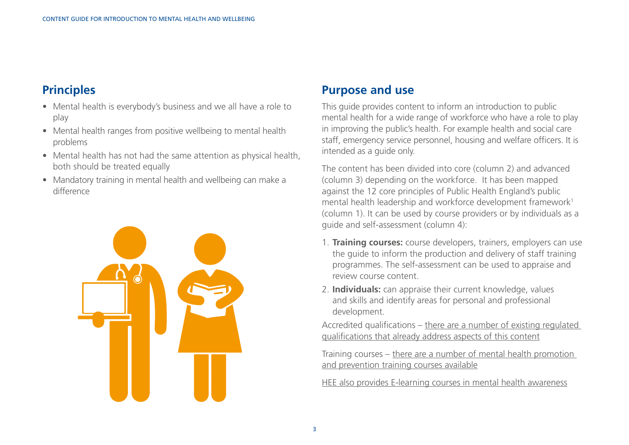### **Principles**

- Mental health is everybody's business and we all have a role to play
- Mental health ranges from positive wellbeing to mental health problems
- Mental health has not had the same attention as physical health, both should be treated equally
- Mandatory training in mental health and wellbeing can make a difference



#### **Purpose and use**

This guide provides content to inform an introduction to public mental health for a wide range of workforce who have a role to play in improving the public's health. For example health and social care staff, emergency service personnel, housing and welfare officers. It is intended as a guide only.

The content has been divided into core (column 2) and advanced (column 3) depending on the workforce. It has been mapped against the 12 core principles of Public Health England's public mental health leadership and workforce development framework<sup>1</sup> (column 1). It can be used by course providers or by individuals as a guide and self-assessment (column 4):

- 1. **Training courses:** course developers, trainers, employers can use the guide to inform the production and delivery of staff training programmes. The self-assessment can be used to appraise and review course content.
- 2. **Individuals:** can appraise their current knowledge, values and skills and identify areas for personal and professional development.

Accredited qualifications – [there are a number of existing regulated](http://www.register.ofqual.gov.uk)  [qualifications that already address aspects of this content](http://www.register.ofqual.gov.uk)

Training courses – [there are a number of mental health promotion](https://www.gov.uk/government/uploads/system/uploads/attachment_data/file/558676/Mental_health_promotion_and_prevention_training_programmes.pdf)  [and prevention training courses available](https://www.gov.uk/government/uploads/system/uploads/attachment_data/file/558676/Mental_health_promotion_and_prevention_training_programmes.pdf)

[HEE also provides E-learning courses in mental health awareness](https://www.e-lfh.org.uk/)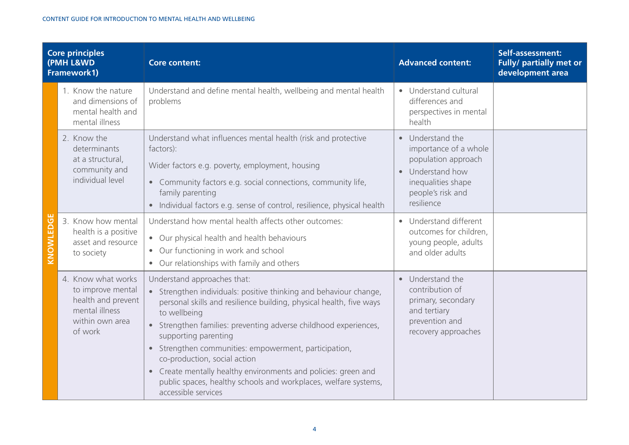| <b>Core principles</b><br>(PMH L&WD<br>Framework1) |                                                                                                               | <b>Core content:</b>                                                                                                                                                                                                                                                                                                                                                                                                                                                                                                                     | <b>Advanced content:</b>                                                                                                                                            | Self-assessment:<br>Fully/ partially met or<br>development area |
|----------------------------------------------------|---------------------------------------------------------------------------------------------------------------|------------------------------------------------------------------------------------------------------------------------------------------------------------------------------------------------------------------------------------------------------------------------------------------------------------------------------------------------------------------------------------------------------------------------------------------------------------------------------------------------------------------------------------------|---------------------------------------------------------------------------------------------------------------------------------------------------------------------|-----------------------------------------------------------------|
| KNOWLEDG                                           | 1. Know the nature<br>and dimensions of<br>mental health and<br>mental illness                                | Understand and define mental health, wellbeing and mental health<br>problems                                                                                                                                                                                                                                                                                                                                                                                                                                                             | • Understand cultural<br>differences and<br>perspectives in mental<br>health                                                                                        |                                                                 |
|                                                    | 2. Know the<br>determinants<br>at a structural,<br>community and<br>individual level                          | Understand what influences mental health (risk and protective<br>factors):<br>Wider factors e.g. poverty, employment, housing<br>• Community factors e.g. social connections, community life,<br>family parenting<br>• Individual factors e.g. sense of control, resilience, physical health                                                                                                                                                                                                                                             | Understand the<br>$\bullet$<br>importance of a whole<br>population approach<br>Understand how<br>$\bullet$<br>inequalities shape<br>people's risk and<br>resilience |                                                                 |
|                                                    | 3. Know how mental<br>health is a positive<br>asset and resource<br>to society                                | Understand how mental health affects other outcomes:<br>• Our physical health and health behaviours<br>• Our functioning in work and school<br>• Our relationships with family and others                                                                                                                                                                                                                                                                                                                                                | Understand different<br>outcomes for children,<br>young people, adults<br>and older adults                                                                          |                                                                 |
|                                                    | 4. Know what works<br>to improve mental<br>health and prevent<br>mental illness<br>within own area<br>of work | Understand approaches that:<br>• Strengthen individuals: positive thinking and behaviour change,<br>personal skills and resilience building, physical health, five ways<br>to wellbeing<br>• Strengthen families: preventing adverse childhood experiences,<br>supporting parenting<br>• Strengthen communities: empowerment, participation,<br>co-production, social action<br>• Create mentally healthy environments and policies: green and<br>public spaces, healthy schools and workplaces, welfare systems,<br>accessible services | Understand the<br>$\bullet$<br>contribution of<br>primary, secondary<br>and tertiary<br>prevention and<br>recovery approaches                                       |                                                                 |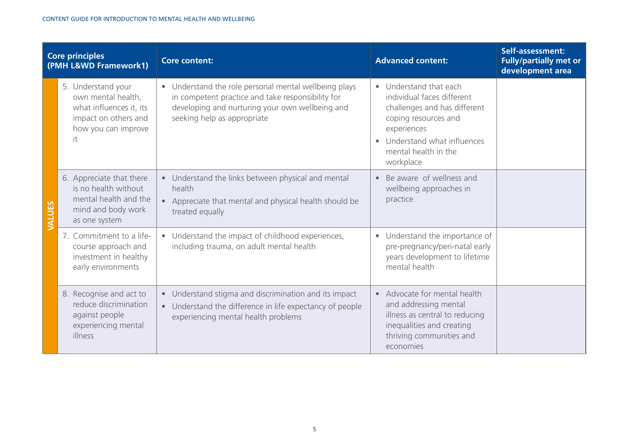| <b>Core principles</b><br>(PMH L&WD Framework1) |                                                                                                                          | <b>Core content:</b>                                                                                                                                                                                    | <b>Advanced content:</b>                                                                                                                                                                         | Self-assessment:<br><b>Fully/partially met or</b><br>development area |
|-------------------------------------------------|--------------------------------------------------------------------------------------------------------------------------|---------------------------------------------------------------------------------------------------------------------------------------------------------------------------------------------------------|--------------------------------------------------------------------------------------------------------------------------------------------------------------------------------------------------|-----------------------------------------------------------------------|
| VALUES                                          | 5. Understand your<br>own mental health,<br>what influences it, its<br>impact on others and<br>how you can improve<br>it | Understand the role personal mental wellbeing plays<br>$\bullet$<br>in competent practice and take responsibility for<br>developing and nurturing your own wellbeing and<br>seeking help as appropriate | • Understand that each<br>individual faces different<br>challenges and has different<br>coping resources and<br>experiences<br>• Understand what influences<br>mental health in the<br>workplace |                                                                       |
|                                                 | 6. Appreciate that there<br>is no health without<br>mental health and the<br>mind and body work<br>as one system         | Understand the links between physical and mental<br>$\bullet$<br>health<br>Appreciate that mental and physical health should be<br>$\bullet$<br>treated equally                                         | • Be aware of wellness and<br>wellbeing approaches in<br>practice                                                                                                                                |                                                                       |
|                                                 | 7. Commitment to a life-<br>course approach and<br>investment in healthy<br>early environments                           | Understand the impact of childhood experiences,<br>$\bullet$<br>including trauma, on adult mental health                                                                                                | • Understand the importance of<br>pre-pregnancy/peri-natal early<br>years development to lifetime<br>mental health                                                                               |                                                                       |
|                                                 | 8. Recognise and act to<br>reduce discrimination<br>against people<br>experiencing mental<br>illness                     | Understand stigma and discrimination and its impact<br>$\bullet$<br>Understand the difference in life expectancy of people<br>$\bullet$<br>experiencing mental health problems                          | • Advocate for mental health<br>and addressing mental<br>illness as central to reducing<br>inequalities and creating<br>thriving communities and<br>economies                                    |                                                                       |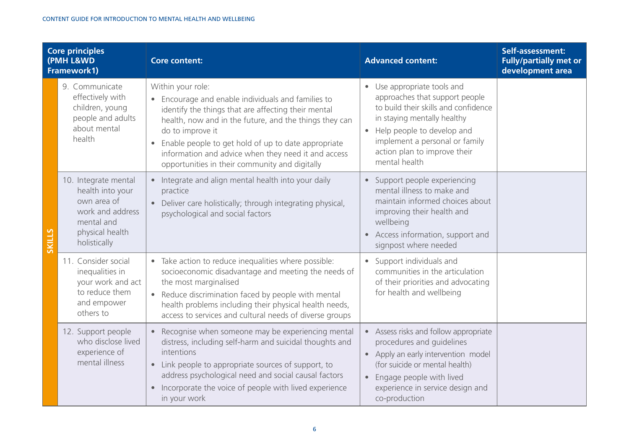| <b>Core principles</b><br>(PMH L&WD<br>Framework1) |                                                                                                                              | <b>Core content:</b>                                                                                                                                                                                                                                                                                                                                                                      | <b>Advanced content:</b>                                                                                                                                                                                                                              | Self-assessment:<br><b>Fully/partially met or</b><br>development area |
|----------------------------------------------------|------------------------------------------------------------------------------------------------------------------------------|-------------------------------------------------------------------------------------------------------------------------------------------------------------------------------------------------------------------------------------------------------------------------------------------------------------------------------------------------------------------------------------------|-------------------------------------------------------------------------------------------------------------------------------------------------------------------------------------------------------------------------------------------------------|-----------------------------------------------------------------------|
| <b>SKILLS</b>                                      | 9. Communicate<br>effectively with<br>children, young<br>people and adults<br>about mental<br>health                         | Within your role:<br>• Encourage and enable individuals and families to<br>identify the things that are affecting their mental<br>health, now and in the future, and the things they can<br>do to improve it<br>Enable people to get hold of up to date appropriate<br>$\bullet$<br>information and advice when they need it and access<br>opportunities in their community and digitally | • Use appropriate tools and<br>approaches that support people<br>to build their skills and confidence<br>in staying mentally healthy<br>Help people to develop and<br>implement a personal or family<br>action plan to improve their<br>mental health |                                                                       |
|                                                    | 10. Integrate mental<br>health into your<br>own area of<br>work and address<br>mental and<br>physical health<br>holistically | • Integrate and align mental health into your daily<br>practice<br>• Deliver care holistically; through integrating physical,<br>psychological and social factors                                                                                                                                                                                                                         | • Support people experiencing<br>mental illness to make and<br>maintain informed choices about<br>improving their health and<br>wellbeing<br>Access information, support and<br>$\bullet$<br>signpost where needed                                    |                                                                       |
|                                                    | 11. Consider social<br>inequalities in<br>your work and act<br>to reduce them<br>and empower<br>others to                    | • Take action to reduce inequalities where possible:<br>socioeconomic disadvantage and meeting the needs of<br>the most marginalised<br>• Reduce discrimination faced by people with mental<br>health problems including their physical health needs,<br>access to services and cultural needs of diverse groups                                                                          | Support individuals and<br>communities in the articulation<br>of their priorities and advocating<br>for health and wellbeing                                                                                                                          |                                                                       |
|                                                    | 12. Support people<br>who disclose lived<br>experience of<br>mental illness                                                  | Recognise when someone may be experiencing mental<br>$\bullet$<br>distress, including self-harm and suicidal thoughts and<br>intentions<br>• Link people to appropriate sources of support, to<br>address psychological need and social causal factors<br>Incorporate the voice of people with lived experience<br>$\bullet$<br>in your work                                              | • Assess risks and follow appropriate<br>procedures and guidelines<br>• Apply an early intervention model<br>(for suicide or mental health)<br>Engage people with lived<br>$\bullet$<br>experience in service design and<br>co-production             |                                                                       |